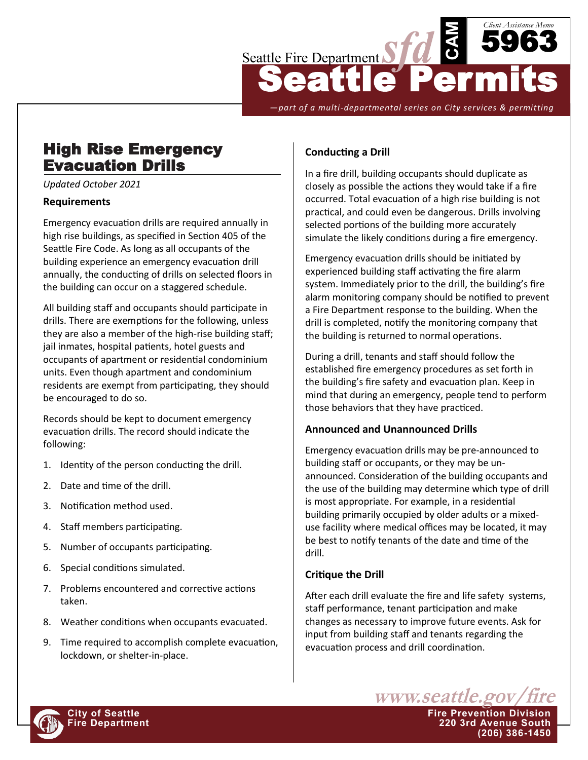

*—part of a multi-departmental series on City services & permitting*

# High Rise Emergency Evacuation Drills

*Updated October 2021*

#### **Requirements**

Emergency evacuation drills are required annually in high rise buildings, as specified in Section 405 of the Seattle Fire Code. As long as all occupants of the building experience an emergency evacuation drill annually, the conducting of drills on selected floors in the building can occur on a staggered schedule.

All building staff and occupants should participate in drills. There are exemptions for the following, unless they are also a member of the high-rise building staff; jail inmates, hospital patients, hotel guests and occupants of apartment or residential condominium units. Even though apartment and condominium residents are exempt from participating, they should be encouraged to do so.

Records should be kept to document emergency evacuation drills. The record should indicate the following:

- 1. Identity of the person conducting the drill.
- 2. Date and time of the drill.
- 3. Notification method used.
- 4. Staff members participating.
- 5. Number of occupants participating.
- 6. Special conditions simulated.
- 7. Problems encountered and corrective actions taken.
- 8. Weather conditions when occupants evacuated.
- 9. Time required to accomplish complete evacuation, lockdown, or shelter-in-place.

## **Conducting a Drill**

In a fire drill, building occupants should duplicate as closely as possible the actions they would take if a fire occurred. Total evacuation of a high rise building is not practical, and could even be dangerous. Drills involving selected portions of the building more accurately simulate the likely conditions during a fire emergency.

Emergency evacuation drills should be initiated by experienced building staff activating the fire alarm system. Immediately prior to the drill, the building's fire alarm monitoring company should be notified to prevent a Fire Department response to the building. When the drill is completed, notify the monitoring company that the building is returned to normal operations.

During a drill, tenants and staff should follow the established fire emergency procedures as set forth in the building's fire safety and evacuation plan. Keep in mind that during an emergency, people tend to perform those behaviors that they have practiced.

#### **Announced and Unannounced Drills**

Emergency evacuation drills may be pre-announced to building staff or occupants, or they may be unannounced. Consideration of the building occupants and the use of the building may determine which type of drill is most appropriate. For example, in a residential building primarily occupied by older adults or a mixeduse facility where medical offices may be located, it may be best to notify tenants of the date and time of the drill.

#### **Critique the Drill**

After each drill evaluate the fire and life safety systems, staff performance, tenant participation and make changes as necessary to improve future events. Ask for input from building staff and tenants regarding the evacuation process and drill coordination.